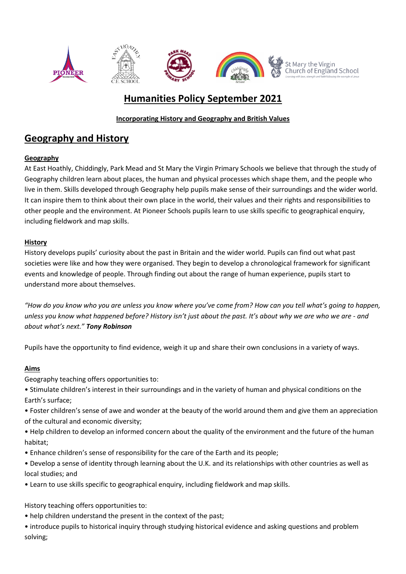

# **Humanities Policy September 2021**

## **Incorporating History and Geography and British Values**

## **Geography and History**

## **Geography**

At East Hoathly, Chiddingly, Park Mead and St Mary the Virgin Primary Schools we believe that through the study of Geography children learn about places, the human and physical processes which shape them, and the people who live in them. Skills developed through Geography help pupils make sense of their surroundings and the wider world. It can inspire them to think about their own place in the world, their values and their rights and responsibilities to other people and the environment. At Pioneer Schools pupils learn to use skills specific to geographical enquiry, including fieldwork and map skills.

## **History**

History develops pupils' curiosity about the past in Britain and the wider world. Pupils can find out what past societies were like and how they were organised. They begin to develop a chronological framework for significant events and knowledge of people. Through finding out about the range of human experience, pupils start to understand more about themselves.

*"How do you know who you are unless you know where you've come from? How can you tell what's going to happen, unless you know what happened before? History isn't just about the past. It's about why we are who we are - and about what's next." Tony Robinson*

Pupils have the opportunity to find evidence, weigh it up and share their own conclusions in a variety of ways.

## **Aims**

Geography teaching offers opportunities to:

- Stimulate children's interest in their surroundings and in the variety of human and physical conditions on the Earth's surface;
- Foster children's sense of awe and wonder at the beauty of the world around them and give them an appreciation of the cultural and economic diversity;
- Help children to develop an informed concern about the quality of the environment and the future of the human habitat;
- Enhance children's sense of responsibility for the care of the Earth and its people;
- Develop a sense of identity through learning about the U.K. and its relationships with other countries as well as local studies; and
- Learn to use skills specific to geographical enquiry, including fieldwork and map skills.

History teaching offers opportunities to:

- help children understand the present in the context of the past;
- introduce pupils to historical inquiry through studying historical evidence and asking questions and problem solving;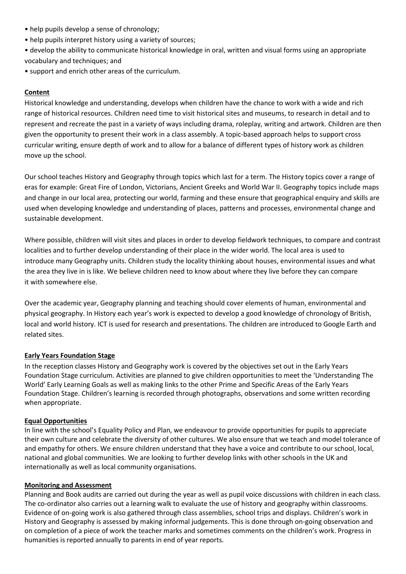- help pupils develop a sense of chronology;
- help pupils interpret history using a variety of sources;
- develop the ability to communicate historical knowledge in oral, written and visual forms using an appropriate vocabulary and techniques; and
- support and enrich other areas of the curriculum.

#### **Content**

Historical knowledge and understanding, develops when children have the chance to work with a wide and rich range of historical resources. Children need time to visit historical sites and museums, to research in detail and to represent and recreate the past in a variety of ways including drama, roleplay, writing and artwork. Children are then given the opportunity to present their work in a class assembly. A topic-based approach helps to support cross curricular writing, ensure depth of work and to allow for a balance of different types of history work as children move up the school.

Our school teaches History and Geography through topics which last for a term. The History topics cover a range of eras for example: Great Fire of London, Victorians, Ancient Greeks and World War II. Geography topics include maps and change in our local area, protecting our world, farming and these ensure that geographical enquiry and skills are used when developing knowledge and understanding of places, patterns and processes, environmental change and sustainable development.

Where possible, children will visit sites and places in order to develop fieldwork techniques, to compare and contrast localities and to further develop understanding of their place in the wider world. The local area is used to introduce many Geography units. Children study the locality thinking about houses, environmental issues and what the area they live in is like. We believe children need to know about where they live before they can compare it with somewhere else.

Over the academic year, Geography planning and teaching should cover elements of human, environmental and physical geography. In History each year's work is expected to develop a good knowledge of chronology of British, local and world history. ICT is used for research and presentations. The children are introduced to Google Earth and related sites.

#### **Early Years Foundation Stage**

In the reception classes History and Geography work is covered by the objectives set out in the Early Years Foundation Stage curriculum. Activities are planned to give children opportunities to meet the 'Understanding The World' Early Learning Goals as well as making links to the other Prime and Specific Areas of the Early Years Foundation Stage. Children's learning is recorded through photographs, observations and some written recording when appropriate.

#### **Equal Opportunities**

In line with the school's Equality Policy and Plan, we endeavour to provide opportunities for pupils to appreciate their own culture and celebrate the diversity of other cultures. We also ensure that we teach and model tolerance of and empathy for others. We ensure children understand that they have a voice and contribute to our school, local, national and global communities. We are looking to further develop links with other schools in the UK and internationally as well as local community organisations.

#### **Monitoring and Assessment**

Planning and Book audits are carried out during the year as well as pupil voice discussions with children in each class. The co-ordinator also carries out a learning walk to evaluate the use of history and geography within classrooms. Evidence of on-going work is also gathered through class assemblies, school trips and displays. Children's work in History and Geography is assessed by making informal judgements. This is done through on-going observation and on completion of a piece of work the teacher marks and sometimes comments on the children's work. Progress in humanities is reported annually to parents in end of year reports.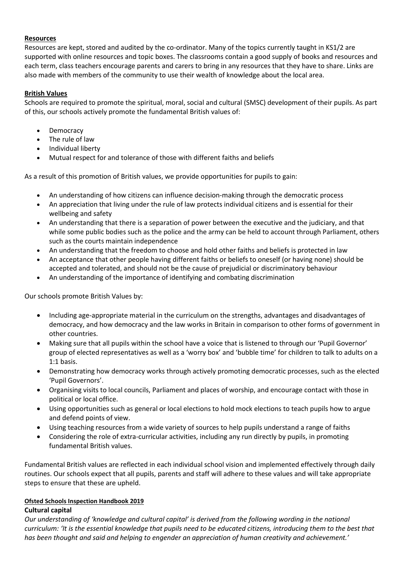#### **Resources**

Resources are kept, stored and audited by the co-ordinator. Many of the topics currently taught in KS1/2 are supported with online resources and topic boxes. The classrooms contain a good supply of books and resources and each term, class teachers encourage parents and carers to bring in any resources that they have to share. Links are also made with members of the community to use their wealth of knowledge about the local area.

#### **British Values**

Schools are required to promote the spiritual, moral, social and cultural (SMSC) development of their pupils. As part of this, our schools actively promote the fundamental British values of:

- Democracy
- The rule of law
- Individual liberty
- Mutual respect for and tolerance of those with different faiths and beliefs

As a result of this promotion of British values, we provide opportunities for pupils to gain:

- An understanding of how citizens can influence decision-making through the democratic process
- An appreciation that living under the rule of law protects individual citizens and is essential for their wellbeing and safety
- An understanding that there is a separation of power between the executive and the judiciary, and that while some public bodies such as the police and the army can be held to account through Parliament, others such as the courts maintain independence
- An understanding that the freedom to choose and hold other faiths and beliefs is protected in law
- An acceptance that other people having different faiths or beliefs to oneself (or having none) should be accepted and tolerated, and should not be the cause of prejudicial or discriminatory behaviour
- An understanding of the importance of identifying and combating discrimination

Our schools promote British Values by:

- Including age-appropriate material in the curriculum on the strengths, advantages and disadvantages of democracy, and how democracy and the law works in Britain in comparison to other forms of government in other countries.
- Making sure that all pupils within the school have a voice that is listened to through our 'Pupil Governor' group of elected representatives as well as a 'worry box' and 'bubble time' for children to talk to adults on a 1:1 basis.
- Demonstrating how democracy works through actively promoting democratic processes, such as the elected 'Pupil Governors'.
- Organising visits to local councils, Parliament and places of worship, and encourage contact with those in political or local office.
- Using opportunities such as general or local elections to hold mock elections to teach pupils how to argue and defend points of view.
- Using teaching resources from a wide variety of sources to help pupils understand a range of faiths
- Considering the role of extra-curricular activities, including any run directly by pupils, in promoting fundamental British values.

Fundamental British values are reflected in each individual school vision and implemented effectively through daily routines. Our schools expect that all pupils, parents and staff will adhere to these values and will take appropriate steps to ensure that these are upheld.

### **Ofsted Schools Inspection Handbook 2019**

#### **Cultural capital**

*Our understanding of 'knowledge and cultural capital' is derived from the following wording in the national curriculum: 'It is the essential knowledge that pupils need to be educated citizens, introducing them to the best that has been thought and said and helping to engender an appreciation of human creativity and achievement.'*